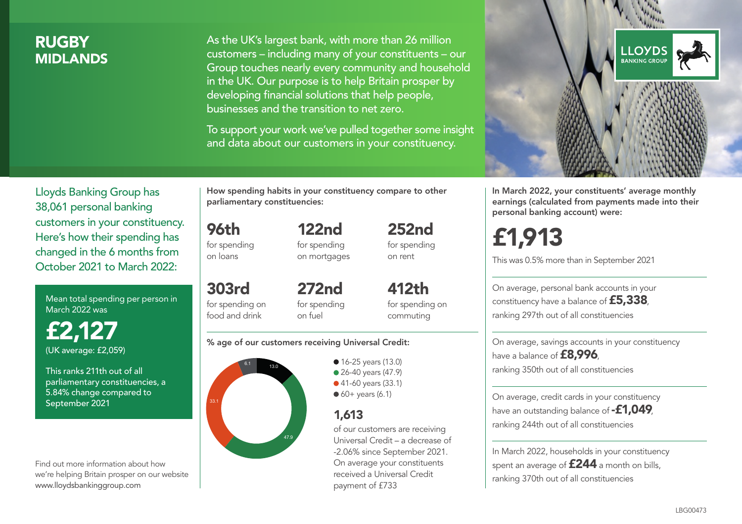### **RUGBY** MIDLANDS

As the UK's largest bank, with more than 26 million customers – including many of your constituents – our Group touches nearly every community and household in the UK. Our purpose is to help Britain prosper by developing financial solutions that help people, businesses and the transition to net zero.

To support your work we've pulled together some insight and data about our customers in your constituency.



In March 2022, your constituents' average monthly earnings (calculated from payments made into their personal banking account) were:

# £1,913

This was 0.5% more than in September 2021

On average, personal bank accounts in your constituency have a balance of £5,338, ranking 297th out of all constituencies

On average, savings accounts in your constituency have a balance of **£8,996**, ranking 350th out of all constituencies

On average, credit cards in your constituency have an outstanding balance of **-£1,049** ranking 244th out of all constituencies

In March 2022, households in your constituency spent an average of **£244** a month on bills, ranking 370th out of all constituencies

Lloyds Banking Group has 38,061 personal banking customers in your constituency. Here's how their spending has changed in the 6 months from October 2021 to March 2022:

Mean total spending per person in March 2022 was

£2,127 (UK average: £2,059)

This ranks 211th out of all parliamentary constituencies, a 5.84% change compared to September 2021

Find out more information about how we're helping Britain prosper on our website www.lloydsbankinggroup.com

How spending habits in your constituency compare to other parliamentary constituencies:

122nd

96th for spending on loans

for spending on mortgages

for spending on rent

303rd for spending on food and drink 272nd for spending on fuel

412th for spending on commuting

252nd

#### % age of our customers receiving Universal Credit:



**16-25 years (13.0)** ● 26-40 years (47.9) ● 41-60 years (33.1)  $60+$  years (6.1)

## 1,613

of our customers are receiving Universal Credit – a decrease of -2.06% since September 2021. On average your constituents received a Universal Credit payment of £733